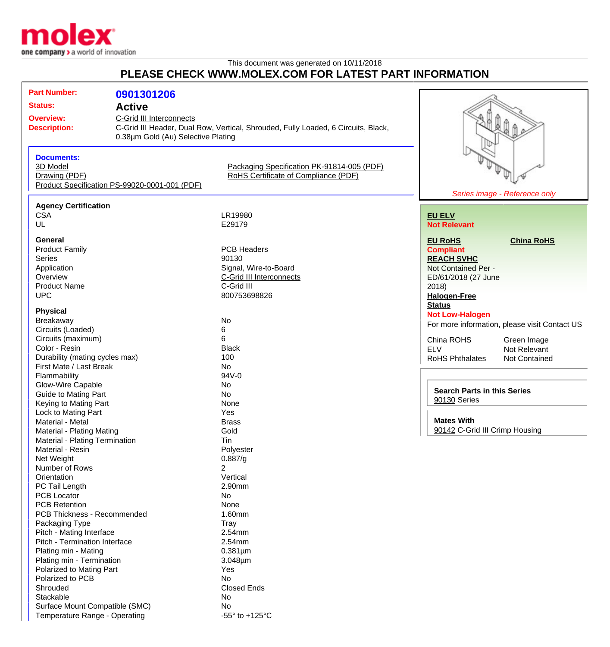

Temperature Range - Operating  $-55^\circ$  to +125°C

## This document was generated on 10/11/2018 **PLEASE CHECK WWW.MOLEX.COM FOR LATEST PART INFORMATION**

| <b>Part Number:</b>            | 0901301206                                    |                                                                                   |                                    |                                               |
|--------------------------------|-----------------------------------------------|-----------------------------------------------------------------------------------|------------------------------------|-----------------------------------------------|
| <b>Status:</b>                 | <b>Active</b>                                 |                                                                                   |                                    |                                               |
| <b>Overview:</b>               | <b>C-Grid III Interconnects</b>               |                                                                                   |                                    |                                               |
| <b>Description:</b>            |                                               | C-Grid III Header, Dual Row, Vertical, Shrouded, Fully Loaded, 6 Circuits, Black, |                                    |                                               |
|                                | 0.38µm Gold (Au) Selective Plating            |                                                                                   |                                    |                                               |
|                                |                                               |                                                                                   |                                    |                                               |
| <b>Documents:</b>              |                                               |                                                                                   |                                    |                                               |
| 3D Model                       |                                               | Packaging Specification PK-91814-005 (PDF)                                        |                                    |                                               |
| Drawing (PDF)                  |                                               | RoHS Certificate of Compliance (PDF)                                              |                                    |                                               |
|                                | Product Specification PS-99020-0001-001 (PDF) |                                                                                   |                                    |                                               |
|                                |                                               |                                                                                   |                                    | Series image - Reference only                 |
| <b>Agency Certification</b>    |                                               |                                                                                   |                                    |                                               |
| <b>CSA</b>                     |                                               | LR19980                                                                           | <b>EU ELV</b>                      |                                               |
| UL                             |                                               | E29179                                                                            | <b>Not Relevant</b>                |                                               |
|                                |                                               |                                                                                   |                                    |                                               |
| General                        |                                               |                                                                                   | <b>EU RoHS</b>                     | <b>China RoHS</b>                             |
| <b>Product Family</b>          |                                               | <b>PCB Headers</b>                                                                | <b>Compliant</b>                   |                                               |
| <b>Series</b>                  |                                               | 90130                                                                             | <b>REACH SVHC</b>                  |                                               |
| Application                    |                                               | Signal, Wire-to-Board                                                             | Not Contained Per -                |                                               |
| Overview                       |                                               | C-Grid III Interconnects                                                          | ED/61/2018 (27 June                |                                               |
| <b>Product Name</b>            |                                               | C-Grid III                                                                        | 2018                               |                                               |
| <b>UPC</b>                     |                                               | 800753698826                                                                      | <b>Halogen-Free</b>                |                                               |
|                                |                                               |                                                                                   | <b>Status</b>                      |                                               |
| <b>Physical</b>                |                                               |                                                                                   | <b>Not Low-Halogen</b>             |                                               |
| <b>Breakaway</b>               |                                               | No                                                                                |                                    | For more information, please visit Contact US |
| Circuits (Loaded)              |                                               | 6                                                                                 |                                    |                                               |
| Circuits (maximum)             |                                               | 6                                                                                 | China ROHS                         | Green Image                                   |
| Color - Resin                  |                                               | <b>Black</b>                                                                      | <b>ELV</b>                         | Not Relevant                                  |
| Durability (mating cycles max) |                                               | 100                                                                               | <b>RoHS Phthalates</b>             | Not Contained                                 |
| First Mate / Last Break        |                                               | No                                                                                |                                    |                                               |
| Flammability                   |                                               | 94V-0                                                                             |                                    |                                               |
| Glow-Wire Capable              |                                               | No                                                                                | <b>Search Parts in this Series</b> |                                               |
| <b>Guide to Mating Part</b>    |                                               | No                                                                                |                                    |                                               |
| Keying to Mating Part          |                                               | None                                                                              | 90130 Series                       |                                               |
| Lock to Mating Part            |                                               | Yes                                                                               |                                    |                                               |
| Material - Metal               |                                               | <b>Brass</b>                                                                      | <b>Mates With</b>                  |                                               |
| Material - Plating Mating      |                                               | Gold                                                                              | 90142 C-Grid III Crimp Housing     |                                               |
| Material - Plating Termination |                                               | Tin                                                                               |                                    |                                               |
| Material - Resin               |                                               | Polyester                                                                         |                                    |                                               |
| Net Weight                     |                                               | 0.887/g                                                                           |                                    |                                               |
| Number of Rows                 |                                               | 2                                                                                 |                                    |                                               |
| Orientation                    |                                               | Vertical                                                                          |                                    |                                               |
| PC Tail Length                 |                                               | 2.90mm                                                                            |                                    |                                               |
| <b>PCB Locator</b>             |                                               | No                                                                                |                                    |                                               |
| <b>PCB Retention</b>           |                                               | None                                                                              |                                    |                                               |
| PCB Thickness - Recommended    |                                               | 1.60mm                                                                            |                                    |                                               |
| Packaging Type                 |                                               | Tray                                                                              |                                    |                                               |
| Pitch - Mating Interface       |                                               | 2.54mm                                                                            |                                    |                                               |
| Pitch - Termination Interface  |                                               | 2.54mm                                                                            |                                    |                                               |
| Plating min - Mating           |                                               | $0.381 \mu m$                                                                     |                                    |                                               |
| Plating min - Termination      |                                               | $3.048 \mu m$                                                                     |                                    |                                               |
| Polarized to Mating Part       |                                               | Yes                                                                               |                                    |                                               |
| Polarized to PCB               |                                               | <b>No</b>                                                                         |                                    |                                               |
| Shrouded                       |                                               | <b>Closed Ends</b>                                                                |                                    |                                               |
| Stackable                      |                                               | No                                                                                |                                    |                                               |
| Surface Mount Compatible (SMC) |                                               | No                                                                                |                                    |                                               |